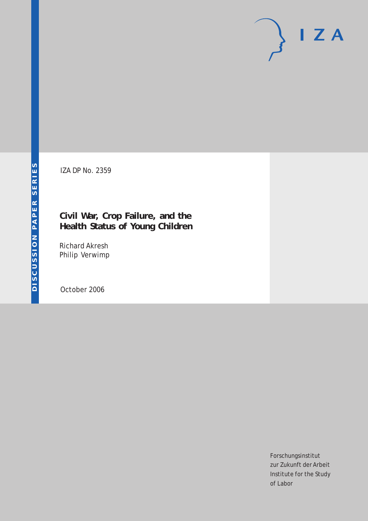# $I Z A$

IZA DP No. 2359

# **Civil War, Crop Failure, and the Health Status of Young Children**

Richard Akresh Philip Verwimp

October 2006

Forschungsinstitut zur Zukunft der Arbeit Institute for the Study of Labor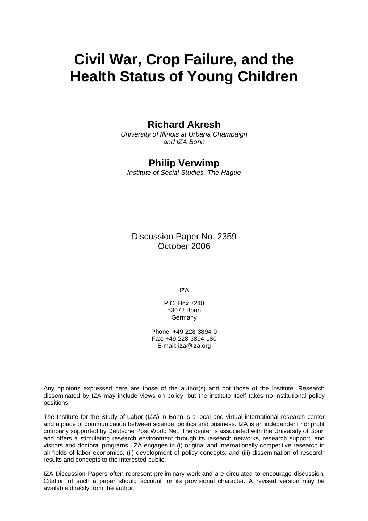# **Civil War, Crop Failure, and the Health Status of Young Children**

# **Richard Akresh**

*University of Illinois at Urbana Champaign and IZA Bonn*

### **Philip Verwimp**

*Institute of Social Studies, The Hague* 

Discussion Paper No. 2359 October 2006

IZA

P.O. Box 7240 53072 Bonn Germany

Phone: +49-228-3894-0 Fax: +49-228-3894-180 E-mail: [iza@iza.org](mailto:iza@iza.org)

Any opinions expressed here are those of the author(s) and not those of the institute. Research disseminated by IZA may include views on policy, but the institute itself takes no institutional policy positions.

The Institute for the Study of Labor (IZA) in Bonn is a local and virtual international research center and a place of communication between science, politics and business. IZA is an independent nonprofit company supported by Deutsche Post World Net. The center is associated with the University of Bonn and offers a stimulating research environment through its research networks, research support, and visitors and doctoral programs. IZA engages in (i) original and internationally competitive research in all fields of labor economics, (ii) development of policy concepts, and (iii) dissemination of research results and concepts to the interested public.

IZA Discussion Papers often represent preliminary work and are circulated to encourage discussion. Citation of such a paper should account for its provisional character. A revised version may be available directly from the author.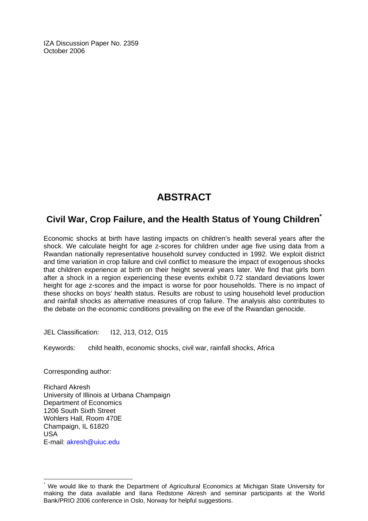IZA Discussion Paper No. 2359 October 2006

# **ABSTRACT**

## **Civil War, Crop Failure, and the Health Status of Young Children[\\*](#page-2-0)**

Economic shocks at birth have lasting impacts on children's health several years after the shock. We calculate height for age z-scores for children under age five using data from a Rwandan nationally representative household survey conducted in 1992. We exploit district and time variation in crop failure and civil conflict to measure the impact of exogenous shocks that children experience at birth on their height several years later. We find that girls born after a shock in a region experiencing these events exhibit 0.72 standard deviations lower height for age z-scores and the impact is worse for poor households. There is no impact of these shocks on boys' health status. Results are robust to using household level production and rainfall shocks as alternative measures of crop failure. The analysis also contributes to the debate on the economic conditions prevailing on the eve of the Rwandan genocide.

JEL Classification: I12, J13, O12, O15

Keywords: child health, economic shocks, civil war, rainfall shocks, Africa

Corresponding author:

 $\overline{a}$ 

Richard Akresh University of Illinois at Urbana Champaign Department of Economics 1206 South Sixth Street Wohlers Hall, Room 470E Champaign, IL 61820 USA E-mail: [akresh@uiuc.edu](mailto:akresh@uiuc.edu) 

<span id="page-2-0"></span><sup>\*</sup> We would like to thank the Department of Agricultural Economics at Michigan State University for making the data available and Ilana Redstone Akresh and seminar participants at the World Bank/PRIO 2006 conference in Oslo, Norway for helpful suggestions.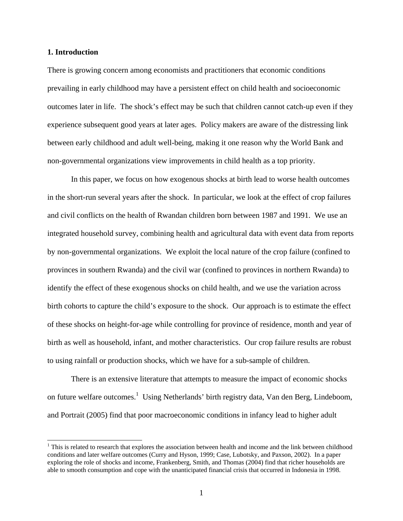#### **1. Introduction**

 $\overline{a}$ 

There is growing concern among economists and practitioners that economic conditions prevailing in early childhood may have a persistent effect on child health and socioeconomic outcomes later in life. The shock's effect may be such that children cannot catch-up even if they experience subsequent good years at later ages. Policy makers are aware of the distressing link between early childhood and adult well-being, making it one reason why the World Bank and non-governmental organizations view improvements in child health as a top priority.

In this paper, we focus on how exogenous shocks at birth lead to worse health outcomes in the short-run several years after the shock. In particular, we look at the effect of crop failures and civil conflicts on the health of Rwandan children born between 1987 and 1991. We use an integrated household survey, combining health and agricultural data with event data from reports by non-governmental organizations. We exploit the local nature of the crop failure (confined to provinces in southern Rwanda) and the civil war (confined to provinces in northern Rwanda) to identify the effect of these exogenous shocks on child health, and we use the variation across birth cohorts to capture the child's exposure to the shock. Our approach is to estimate the effect of these shocks on height-for-age while controlling for province of residence, month and year of birth as well as household, infant, and mother characteristics. Our crop failure results are robust to using rainfall or production shocks, which we have for a sub-sample of children.

There is an extensive literature that attempts to measure the impact of economic shocks on future welfare outcomes.<sup>1</sup> Using Netherlands' birth registry data, Van den Berg, Lindeboom, and Portrait (2005) find that poor macroeconomic conditions in infancy lead to higher adult

 $1$ <sup>1</sup> This is related to research that explores the association between health and income and the link between childhood conditions and later welfare outcomes (Curry and Hyson, 1999; Case, Lubotsky, and Paxson, 2002). In a paper exploring the role of shocks and income, Frankenberg, Smith, and Thomas (2004) find that richer households are able to smooth consumption and cope with the unanticipated financial crisis that occurred in Indonesia in 1998.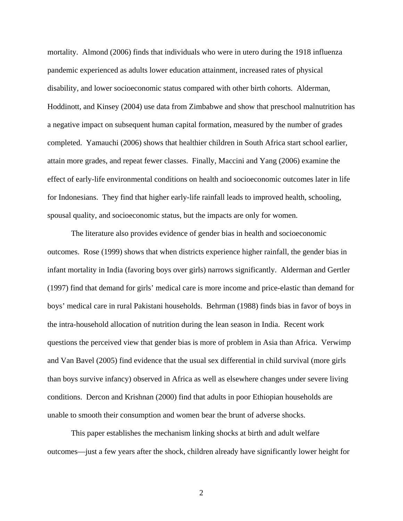mortality. Almond (2006) finds that individuals who were in utero during the 1918 influenza pandemic experienced as adults lower education attainment, increased rates of physical disability, and lower socioeconomic status compared with other birth cohorts. Alderman, Hoddinott, and Kinsey (2004) use data from Zimbabwe and show that preschool malnutrition has a negative impact on subsequent human capital formation, measured by the number of grades completed. Yamauchi (2006) shows that healthier children in South Africa start school earlier, attain more grades, and repeat fewer classes. Finally, Maccini and Yang (2006) examine the effect of early-life environmental conditions on health and socioeconomic outcomes later in life for Indonesians. They find that higher early-life rainfall leads to improved health, schooling, spousal quality, and socioeconomic status, but the impacts are only for women.

The literature also provides evidence of gender bias in health and socioeconomic outcomes. Rose (1999) shows that when districts experience higher rainfall, the gender bias in infant mortality in India (favoring boys over girls) narrows significantly. Alderman and Gertler (1997) find that demand for girls' medical care is more income and price-elastic than demand for boys' medical care in rural Pakistani households. Behrman (1988) finds bias in favor of boys in the intra-household allocation of nutrition during the lean season in India. Recent work questions the perceived view that gender bias is more of problem in Asia than Africa. Verwimp and Van Bavel (2005) find evidence that the usual sex differential in child survival (more girls than boys survive infancy) observed in Africa as well as elsewhere changes under severe living conditions. Dercon and Krishnan (2000) find that adults in poor Ethiopian households are unable to smooth their consumption and women bear the brunt of adverse shocks.

This paper establishes the mechanism linking shocks at birth and adult welfare outcomes—just a few years after the shock, children already have significantly lower height for

2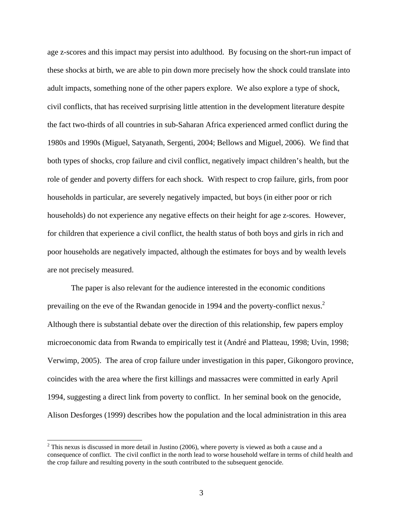age z-scores and this impact may persist into adulthood. By focusing on the short-run impact of these shocks at birth, we are able to pin down more precisely how the shock could translate into adult impacts, something none of the other papers explore. We also explore a type of shock, civil conflicts, that has received surprising little attention in the development literature despite the fact two-thirds of all countries in sub-Saharan Africa experienced armed conflict during the 1980s and 1990s (Miguel, Satyanath, Sergenti, 2004; Bellows and Miguel, 2006). We find that both types of shocks, crop failure and civil conflict, negatively impact children's health, but the role of gender and poverty differs for each shock. With respect to crop failure, girls, from poor households in particular, are severely negatively impacted, but boys (in either poor or rich households) do not experience any negative effects on their height for age z-scores. However, for children that experience a civil conflict, the health status of both boys and girls in rich and poor households are negatively impacted, although the estimates for boys and by wealth levels are not precisely measured.

The paper is also relevant for the audience interested in the economic conditions prevailing on the eve of the Rwandan genocide in 1994 and the poverty-conflict nexus.<sup>2</sup> Although there is substantial debate over the direction of this relationship, few papers employ microeconomic data from Rwanda to empirically test it (André and Platteau, 1998; Uvin, 1998; Verwimp, 2005). The area of crop failure under investigation in this paper, Gikongoro province, coincides with the area where the first killings and massacres were committed in early April 1994, suggesting a direct link from poverty to conflict. In her seminal book on the genocide, Alison Desforges (1999) describes how the population and the local administration in this area

 $\overline{a}$ 

 $2$  This nexus is discussed in more detail in Justino (2006), where poverty is viewed as both a cause and a consequence of conflict. The civil conflict in the north lead to worse household welfare in terms of child health and the crop failure and resulting poverty in the south contributed to the subsequent genocide.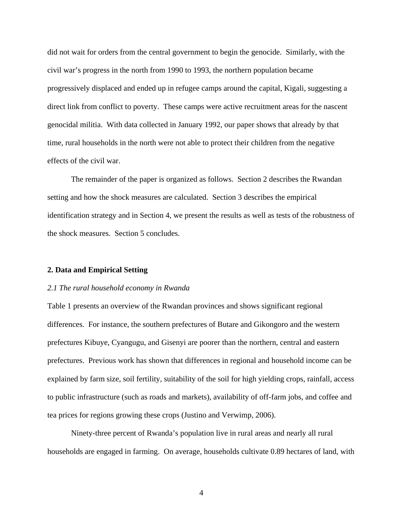did not wait for orders from the central government to begin the genocide. Similarly, with the civil war's progress in the north from 1990 to 1993, the northern population became progressively displaced and ended up in refugee camps around the capital, Kigali, suggesting a direct link from conflict to poverty. These camps were active recruitment areas for the nascent genocidal militia. With data collected in January 1992, our paper shows that already by that time, rural households in the north were not able to protect their children from the negative effects of the civil war.

The remainder of the paper is organized as follows. Section 2 describes the Rwandan setting and how the shock measures are calculated. Section 3 describes the empirical identification strategy and in Section 4, we present the results as well as tests of the robustness of the shock measures. Section 5 concludes.

#### **2. Data and Empirical Setting**

#### *2.1 The rural household economy in Rwanda*

Table 1 presents an overview of the Rwandan provinces and shows significant regional differences. For instance, the southern prefectures of Butare and Gikongoro and the western prefectures Kibuye, Cyangugu, and Gisenyi are poorer than the northern, central and eastern prefectures. Previous work has shown that differences in regional and household income can be explained by farm size, soil fertility, suitability of the soil for high yielding crops, rainfall, access to public infrastructure (such as roads and markets), availability of off-farm jobs, and coffee and tea prices for regions growing these crops (Justino and Verwimp, 2006).

Ninety-three percent of Rwanda's population live in rural areas and nearly all rural households are engaged in farming. On average, households cultivate 0.89 hectares of land, with

4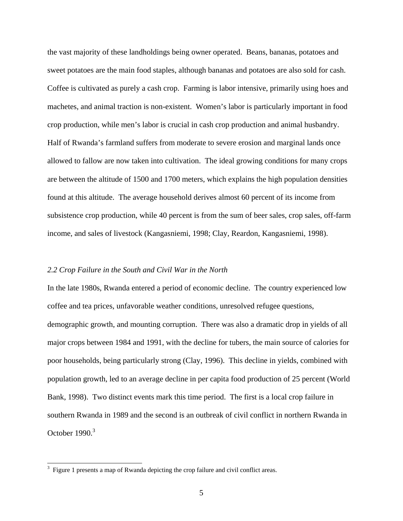the vast majority of these landholdings being owner operated. Beans, bananas, potatoes and sweet potatoes are the main food staples, although bananas and potatoes are also sold for cash. Coffee is cultivated as purely a cash crop. Farming is labor intensive, primarily using hoes and machetes, and animal traction is non-existent. Women's labor is particularly important in food crop production, while men's labor is crucial in cash crop production and animal husbandry. Half of Rwanda's farmland suffers from moderate to severe erosion and marginal lands once allowed to fallow are now taken into cultivation. The ideal growing conditions for many crops are between the altitude of 1500 and 1700 meters, which explains the high population densities found at this altitude. The average household derives almost 60 percent of its income from subsistence crop production, while 40 percent is from the sum of beer sales, crop sales, off-farm income, and sales of livestock (Kangasniemi, 1998; Clay, Reardon, Kangasniemi, 1998).

#### *2.2 Crop Failure in the South and Civil War in the North*

In the late 1980s, Rwanda entered a period of economic decline. The country experienced low coffee and tea prices, unfavorable weather conditions, unresolved refugee questions, demographic growth, and mounting corruption. There was also a dramatic drop in yields of all major crops between 1984 and 1991, with the decline for tubers, the main source of calories for poor households, being particularly strong (Clay, 1996). This decline in yields, combined with population growth, led to an average decline in per capita food production of 25 percent (World Bank, 1998). Two distinct events mark this time period. The first is a local crop failure in southern Rwanda in 1989 and the second is an outbreak of civil conflict in northern Rwanda in October 1990.<sup>3</sup>

 $\overline{a}$ 

 $3$  Figure 1 presents a map of Rwanda depicting the crop failure and civil conflict areas.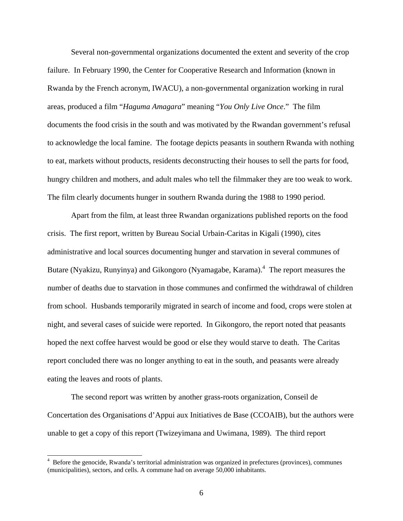Several non-governmental organizations documented the extent and severity of the crop failure. In February 1990, the Center for Cooperative Research and Information (known in Rwanda by the French acronym, IWACU), a non-governmental organization working in rural areas, produced a film "*Haguma Amagara*" meaning "*You Only Live Once*." The film documents the food crisis in the south and was motivated by the Rwandan government's refusal to acknowledge the local famine. The footage depicts peasants in southern Rwanda with nothing to eat, markets without products, residents deconstructing their houses to sell the parts for food, hungry children and mothers, and adult males who tell the filmmaker they are too weak to work. The film clearly documents hunger in southern Rwanda during the 1988 to 1990 period.

Apart from the film, at least three Rwandan organizations published reports on the food crisis. The first report, written by Bureau Social Urbain-Caritas in Kigali (1990), cites administrative and local sources documenting hunger and starvation in several communes of Butare (Nyakizu, Runyinya) and Gikongoro (Nyamagabe, Karama).<sup>4</sup> The report measures the number of deaths due to starvation in those communes and confirmed the withdrawal of children from school. Husbands temporarily migrated in search of income and food, crops were stolen at night, and several cases of suicide were reported. In Gikongoro, the report noted that peasants hoped the next coffee harvest would be good or else they would starve to death. The Caritas report concluded there was no longer anything to eat in the south, and peasants were already eating the leaves and roots of plants.

The second report was written by another grass-roots organization, Conseil de Concertation des Organisations d'Appui aux Initiatives de Base (CCOAIB), but the authors were unable to get a copy of this report (Twizeyimana and Uwimana, 1989). The third report

 $\overline{a}$ 

<sup>4</sup> Before the genocide, Rwanda's territorial administration was organized in prefectures (provinces), communes (municipalities), sectors, and cells. A commune had on average 50,000 inhabitants.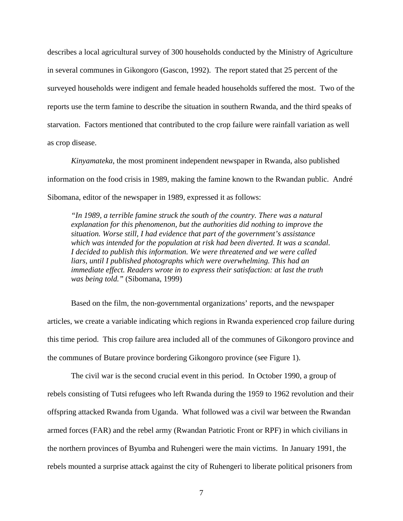describes a local agricultural survey of 300 households conducted by the Ministry of Agriculture in several communes in Gikongoro (Gascon, 1992). The report stated that 25 percent of the surveyed households were indigent and female headed households suffered the most. Two of the reports use the term famine to describe the situation in southern Rwanda, and the third speaks of starvation. Factors mentioned that contributed to the crop failure were rainfall variation as well as crop disease.

*Kinyamateka*, the most prominent independent newspaper in Rwanda, also published information on the food crisis in 1989, making the famine known to the Rwandan public. André Sibomana, editor of the newspaper in 1989, expressed it as follows:

*"In 1989, a terrible famine struck the south of the country. There was a natural explanation for this phenomenon, but the authorities did nothing to improve the situation. Worse still, I had evidence that part of the government's assistance which was intended for the population at risk had been diverted. It was a scandal. I decided to publish this information. We were threatened and we were called liars, until I published photographs which were overwhelming. This had an immediate effect. Readers wrote in to express their satisfaction: at last the truth was being told."* (Sibomana, 1999)

Based on the film, the non-governmental organizations' reports, and the newspaper articles, we create a variable indicating which regions in Rwanda experienced crop failure during this time period. This crop failure area included all of the communes of Gikongoro province and the communes of Butare province bordering Gikongoro province (see Figure 1).

The civil war is the second crucial event in this period. In October 1990, a group of rebels consisting of Tutsi refugees who left Rwanda during the 1959 to 1962 revolution and their offspring attacked Rwanda from Uganda. What followed was a civil war between the Rwandan armed forces (FAR) and the rebel army (Rwandan Patriotic Front or RPF) in which civilians in the northern provinces of Byumba and Ruhengeri were the main victims. In January 1991, the rebels mounted a surprise attack against the city of Ruhengeri to liberate political prisoners from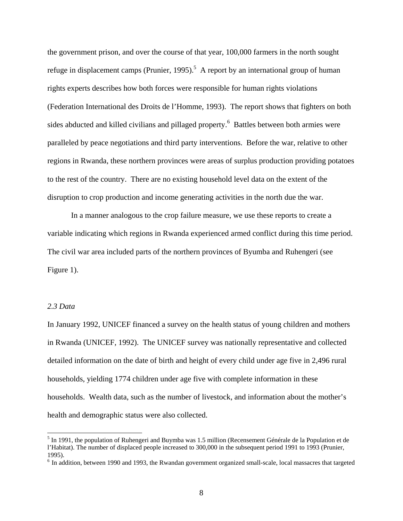the government prison, and over the course of that year, 100,000 farmers in the north sought refuge in displacement camps (Prunier, 1995).<sup>5</sup> A report by an international group of human rights experts describes how both forces were responsible for human rights violations (Federation International des Droits de l'Homme, 1993). The report shows that fighters on both sides abducted and killed civilians and pillaged property.<sup>6</sup> Battles between both armies were paralleled by peace negotiations and third party interventions. Before the war, relative to other regions in Rwanda, these northern provinces were areas of surplus production providing potatoes to the rest of the country. There are no existing household level data on the extent of the disruption to crop production and income generating activities in the north due the war.

In a manner analogous to the crop failure measure, we use these reports to create a variable indicating which regions in Rwanda experienced armed conflict during this time period. The civil war area included parts of the northern provinces of Byumba and Ruhengeri (see Figure 1).

#### *2.3 Data*

 $\overline{a}$ 

In January 1992, UNICEF financed a survey on the health status of young children and mothers in Rwanda (UNICEF, 1992). The UNICEF survey was nationally representative and collected detailed information on the date of birth and height of every child under age five in 2,496 rural households, yielding 1774 children under age five with complete information in these households. Wealth data, such as the number of livestock, and information about the mother's health and demographic status were also collected.

<sup>&</sup>lt;sup>5</sup> In 1991, the population of Ruhengeri and Buymba was 1.5 million (Recensement Générale de la Population et de l'Habitat). The number of displaced people increased to 300,000 in the subsequent period 1991 to 1993 (Prunier, 1995).

 $6$  In addition, between 1990 and 1993, the Rwandan government organized small-scale, local massacres that targeted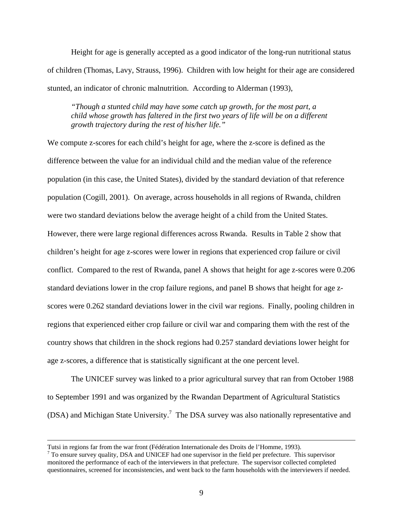Height for age is generally accepted as a good indicator of the long-run nutritional status of children (Thomas, Lavy, Strauss, 1996). Children with low height for their age are considered stunted, an indicator of chronic malnutrition. According to Alderman (1993),

*"Though a stunted child may have some catch up growth, for the most part, a child whose growth has faltered in the first two years of life will be on a different growth trajectory during the rest of his/her life."* 

We compute z-scores for each child's height for age, where the z-score is defined as the difference between the value for an individual child and the median value of the reference population (in this case, the United States), divided by the standard deviation of that reference population (Cogill, 2001). On average, across households in all regions of Rwanda, children were two standard deviations below the average height of a child from the United States. However, there were large regional differences across Rwanda. Results in Table 2 show that children's height for age z-scores were lower in regions that experienced crop failure or civil conflict. Compared to the rest of Rwanda, panel A shows that height for age z-scores were 0.206 standard deviations lower in the crop failure regions, and panel B shows that height for age zscores were 0.262 standard deviations lower in the civil war regions. Finally, pooling children in regions that experienced either crop failure or civil war and comparing them with the rest of the country shows that children in the shock regions had 0.257 standard deviations lower height for age z-scores, a difference that is statistically significant at the one percent level.

The UNICEF survey was linked to a prior agricultural survey that ran from October 1988 to September 1991 and was organized by the Rwandan Department of Agricultural Statistics (DSA) and Michigan State University.<sup>7</sup> The DSA survey was also nationally representative and

 $\overline{a}$ 

Tutsi in regions far from the war front (Fédération Internationale des Droits de l'Homme, 1993). 7

<sup>&</sup>lt;sup>7</sup> To ensure survey quality, DSA and UNICEF had one supervisor in the field per prefecture. This supervisor monitored the performance of each of the interviewers in that prefecture. The supervisor collected completed questionnaires, screened for inconsistencies, and went back to the farm households with the interviewers if needed.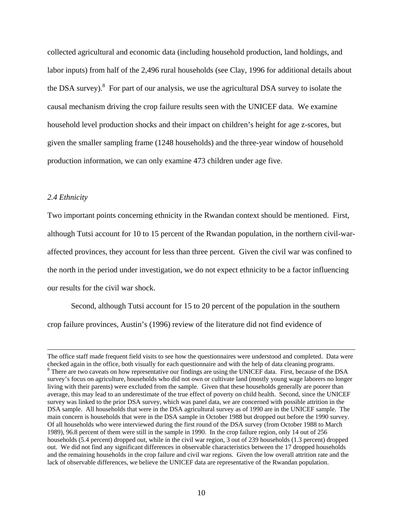collected agricultural and economic data (including household production, land holdings, and labor inputs) from half of the 2,496 rural households (see Clay, 1996 for additional details about the DSA survey).<sup>8</sup> For part of our analysis, we use the agricultural DSA survey to isolate the causal mechanism driving the crop failure results seen with the UNICEF data. We examine household level production shocks and their impact on children's height for age z-scores, but given the smaller sampling frame (1248 households) and the three-year window of household production information, we can only examine 473 children under age five.

#### *2.4 Ethnicity*

 $\overline{a}$ 

Two important points concerning ethnicity in the Rwandan context should be mentioned. First, although Tutsi account for 10 to 15 percent of the Rwandan population, in the northern civil-waraffected provinces, they account for less than three percent. Given the civil war was confined to the north in the period under investigation, we do not expect ethnicity to be a factor influencing our results for the civil war shock.

Second, although Tutsi account for 15 to 20 percent of the population in the southern crop failure provinces, Austin's (1996) review of the literature did not find evidence of

The office staff made frequent field visits to see how the questionnaires were understood and completed. Data were checked again in the office, both visually for each questionnaire and with the help of data cleaning programs. 8 There are two caveats on how representative our findings are using the UNICEF data. First, because of the DSA survey's focus on agriculture, households who did not own or cultivate land (mostly young wage laborers no longer living with their parents) were excluded from the sample. Given that these households generally are poorer than average, this may lead to an underestimate of the true effect of poverty on child health. Second, since the UNICEF survey was linked to the prior DSA survey, which was panel data, we are concerned with possible attrition in the DSA sample. All households that were in the DSA agricultural survey as of 1990 are in the UNICEF sample. The main concern is households that were in the DSA sample in October 1988 but dropped out before the 1990 survey. Of all households who were interviewed during the first round of the DSA survey (from October 1988 to March 1989), 96.8 percent of them were still in the sample in 1990. In the crop failure region, only 14 out of 256 households (5.4 percent) dropped out, while in the civil war region, 3 out of 239 households (1.3 percent) dropped out. We did not find any significant differences in observable characteristics between the 17 dropped households and the remaining households in the crop failure and civil war regions. Given the low overall attrition rate and the lack of observable differences, we believe the UNICEF data are representative of the Rwandan population.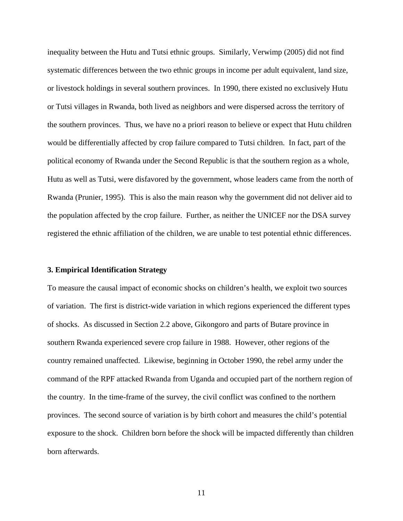inequality between the Hutu and Tutsi ethnic groups. Similarly, Verwimp (2005) did not find systematic differences between the two ethnic groups in income per adult equivalent, land size, or livestock holdings in several southern provinces. In 1990, there existed no exclusively Hutu or Tutsi villages in Rwanda, both lived as neighbors and were dispersed across the territory of the southern provinces. Thus, we have no a priori reason to believe or expect that Hutu children would be differentially affected by crop failure compared to Tutsi children. In fact, part of the political economy of Rwanda under the Second Republic is that the southern region as a whole, Hutu as well as Tutsi, were disfavored by the government, whose leaders came from the north of Rwanda (Prunier, 1995). This is also the main reason why the government did not deliver aid to the population affected by the crop failure. Further, as neither the UNICEF nor the DSA survey registered the ethnic affiliation of the children, we are unable to test potential ethnic differences.

#### **3. Empirical Identification Strategy**

To measure the causal impact of economic shocks on children's health, we exploit two sources of variation. The first is district-wide variation in which regions experienced the different types of shocks. As discussed in Section 2.2 above, Gikongoro and parts of Butare province in southern Rwanda experienced severe crop failure in 1988. However, other regions of the country remained unaffected. Likewise, beginning in October 1990, the rebel army under the command of the RPF attacked Rwanda from Uganda and occupied part of the northern region of the country. In the time-frame of the survey, the civil conflict was confined to the northern provinces. The second source of variation is by birth cohort and measures the child's potential exposure to the shock. Children born before the shock will be impacted differently than children born afterwards.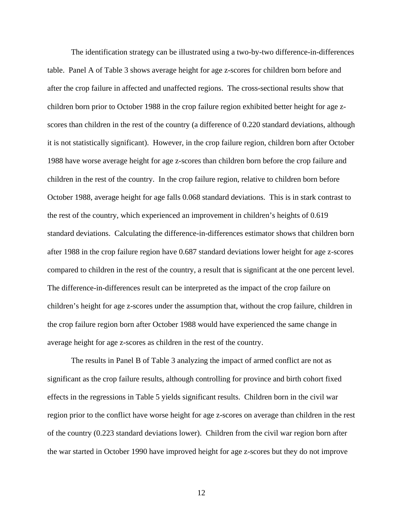The identification strategy can be illustrated using a two-by-two difference-in-differences table. Panel A of Table 3 shows average height for age z-scores for children born before and after the crop failure in affected and unaffected regions. The cross-sectional results show that children born prior to October 1988 in the crop failure region exhibited better height for age zscores than children in the rest of the country (a difference of 0.220 standard deviations, although it is not statistically significant). However, in the crop failure region, children born after October 1988 have worse average height for age z-scores than children born before the crop failure and children in the rest of the country. In the crop failure region, relative to children born before October 1988, average height for age falls 0.068 standard deviations. This is in stark contrast to the rest of the country, which experienced an improvement in children's heights of 0.619 standard deviations. Calculating the difference-in-differences estimator shows that children born after 1988 in the crop failure region have 0.687 standard deviations lower height for age z-scores compared to children in the rest of the country, a result that is significant at the one percent level. The difference-in-differences result can be interpreted as the impact of the crop failure on children's height for age z-scores under the assumption that, without the crop failure, children in the crop failure region born after October 1988 would have experienced the same change in average height for age z-scores as children in the rest of the country.

The results in Panel B of Table 3 analyzing the impact of armed conflict are not as significant as the crop failure results, although controlling for province and birth cohort fixed effects in the regressions in Table 5 yields significant results. Children born in the civil war region prior to the conflict have worse height for age z-scores on average than children in the rest of the country (0.223 standard deviations lower). Children from the civil war region born after the war started in October 1990 have improved height for age z-scores but they do not improve

12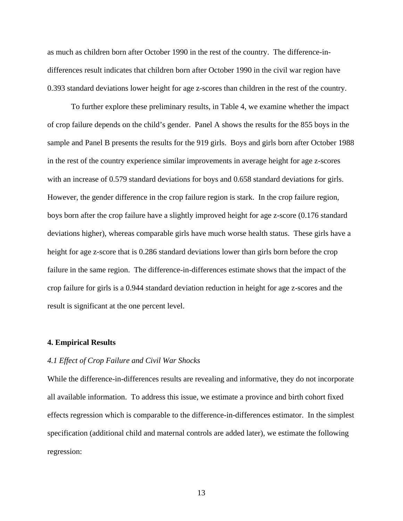as much as children born after October 1990 in the rest of the country. The difference-indifferences result indicates that children born after October 1990 in the civil war region have 0.393 standard deviations lower height for age z-scores than children in the rest of the country.

To further explore these preliminary results, in Table 4, we examine whether the impact of crop failure depends on the child's gender. Panel A shows the results for the 855 boys in the sample and Panel B presents the results for the 919 girls. Boys and girls born after October 1988 in the rest of the country experience similar improvements in average height for age z-scores with an increase of 0.579 standard deviations for boys and 0.658 standard deviations for girls. However, the gender difference in the crop failure region is stark. In the crop failure region, boys born after the crop failure have a slightly improved height for age z-score (0.176 standard deviations higher), whereas comparable girls have much worse health status. These girls have a height for age z-score that is 0.286 standard deviations lower than girls born before the crop failure in the same region. The difference-in-differences estimate shows that the impact of the crop failure for girls is a 0.944 standard deviation reduction in height for age z-scores and the result is significant at the one percent level.

#### **4. Empirical Results**

#### *4.1 Effect of Crop Failure and Civil War Shocks*

While the difference-in-differences results are revealing and informative, they do not incorporate all available information. To address this issue, we estimate a province and birth cohort fixed effects regression which is comparable to the difference-in-differences estimator. In the simplest specification (additional child and maternal controls are added later), we estimate the following regression: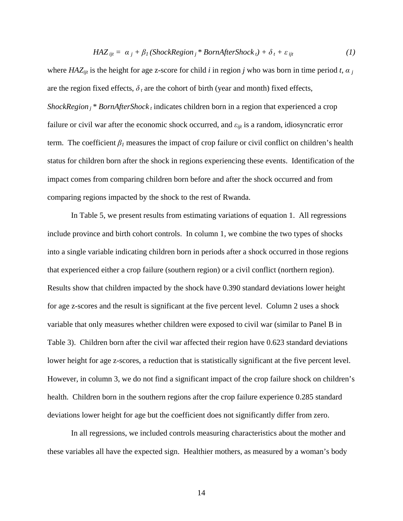$$
HAZ_{ijt} = \alpha_j + \beta_l (ShockRegion_j * BornAfter Shock_t) + \delta_t + \varepsilon_{ijt}
$$
 (1)

where  $HAZ_{ijt}$  is the height for age z-score for child *i* in region *j* who was born in time period *t*,  $\alpha_j$ are the region fixed effects,  $\delta_t$  are the cohort of birth (year and month) fixed effects, *ShockRegion <sub>i</sub>* \* *BornAfterShock t* indicates children born in a region that experienced a crop failure or civil war after the economic shock occurred, and *εijt* is a random, idiosyncratic error term. The coefficient  $\beta_l$  measures the impact of crop failure or civil conflict on children's health status for children born after the shock in regions experiencing these events. Identification of the impact comes from comparing children born before and after the shock occurred and from comparing regions impacted by the shock to the rest of Rwanda.

In Table 5, we present results from estimating variations of equation 1. All regressions include province and birth cohort controls. In column 1, we combine the two types of shocks into a single variable indicating children born in periods after a shock occurred in those regions that experienced either a crop failure (southern region) or a civil conflict (northern region). Results show that children impacted by the shock have 0.390 standard deviations lower height for age z-scores and the result is significant at the five percent level. Column 2 uses a shock variable that only measures whether children were exposed to civil war (similar to Panel B in Table 3). Children born after the civil war affected their region have 0.623 standard deviations lower height for age z-scores, a reduction that is statistically significant at the five percent level. However, in column 3, we do not find a significant impact of the crop failure shock on children's health. Children born in the southern regions after the crop failure experience 0.285 standard deviations lower height for age but the coefficient does not significantly differ from zero.

In all regressions, we included controls measuring characteristics about the mother and these variables all have the expected sign. Healthier mothers, as measured by a woman's body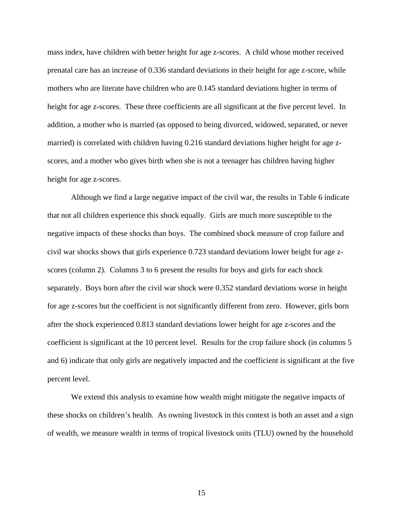mass index, have children with better height for age z-scores. A child whose mother received prenatal care has an increase of 0.336 standard deviations in their height for age z-score, while mothers who are literate have children who are 0.145 standard deviations higher in terms of height for age z-scores. These three coefficients are all significant at the five percent level. In addition, a mother who is married (as opposed to being divorced, widowed, separated, or never married) is correlated with children having 0.216 standard deviations higher height for age zscores, and a mother who gives birth when she is not a teenager has children having higher height for age z-scores.

Although we find a large negative impact of the civil war, the results in Table 6 indicate that not all children experience this shock equally. Girls are much more susceptible to the negative impacts of these shocks than boys. The combined shock measure of crop failure and civil war shocks shows that girls experience 0.723 standard deviations lower height for age zscores (column 2). Columns 3 to 6 present the results for boys and girls for each shock separately. Boys born after the civil war shock were 0.352 standard deviations worse in height for age z-scores but the coefficient is not significantly different from zero. However, girls born after the shock experienced 0.813 standard deviations lower height for age z-scores and the coefficient is significant at the 10 percent level. Results for the crop failure shock (in columns 5 and 6) indicate that only girls are negatively impacted and the coefficient is significant at the five percent level.

We extend this analysis to examine how wealth might mitigate the negative impacts of these shocks on children's health. As owning livestock in this context is both an asset and a sign of wealth, we measure wealth in terms of tropical livestock units (TLU) owned by the household

15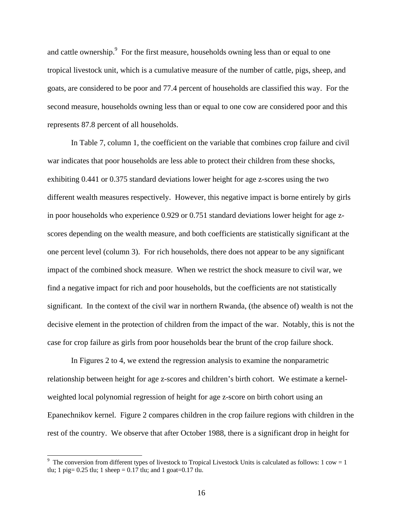and cattle ownership.<sup>9</sup> For the first measure, households owning less than or equal to one tropical livestock unit, which is a cumulative measure of the number of cattle, pigs, sheep, and goats, are considered to be poor and 77.4 percent of households are classified this way. For the second measure, households owning less than or equal to one cow are considered poor and this represents 87.8 percent of all households.

In Table 7, column 1, the coefficient on the variable that combines crop failure and civil war indicates that poor households are less able to protect their children from these shocks, exhibiting 0.441 or 0.375 standard deviations lower height for age z-scores using the two different wealth measures respectively. However, this negative impact is borne entirely by girls in poor households who experience 0.929 or 0.751 standard deviations lower height for age zscores depending on the wealth measure, and both coefficients are statistically significant at the one percent level (column 3). For rich households, there does not appear to be any significant impact of the combined shock measure. When we restrict the shock measure to civil war, we find a negative impact for rich and poor households, but the coefficients are not statistically significant. In the context of the civil war in northern Rwanda, (the absence of) wealth is not the decisive element in the protection of children from the impact of the war. Notably, this is not the case for crop failure as girls from poor households bear the brunt of the crop failure shock.

In Figures 2 to 4, we extend the regression analysis to examine the nonparametric relationship between height for age z-scores and children's birth cohort. We estimate a kernelweighted local polynomial regression of height for age z-score on birth cohort using an Epanechnikov kernel. Figure 2 compares children in the crop failure regions with children in the rest of the country. We observe that after October 1988, there is a significant drop in height for

 $\overline{a}$ 

<sup>&</sup>lt;sup>9</sup> The conversion from different types of livestock to Tropical Livestock Units is calculated as follows: 1 cow = 1 tlu; 1 pig=  $0.25$  tlu; 1 sheep =  $0.17$  tlu; and 1 goat= $0.17$  tlu.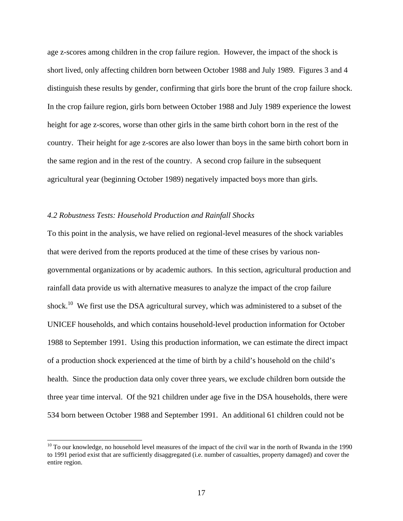age z-scores among children in the crop failure region. However, the impact of the shock is short lived, only affecting children born between October 1988 and July 1989. Figures 3 and 4 distinguish these results by gender, confirming that girls bore the brunt of the crop failure shock. In the crop failure region, girls born between October 1988 and July 1989 experience the lowest height for age z-scores, worse than other girls in the same birth cohort born in the rest of the country. Their height for age z-scores are also lower than boys in the same birth cohort born in the same region and in the rest of the country. A second crop failure in the subsequent agricultural year (beginning October 1989) negatively impacted boys more than girls.

#### *4.2 Robustness Tests: Household Production and Rainfall Shocks*

 $\overline{a}$ 

To this point in the analysis, we have relied on regional-level measures of the shock variables that were derived from the reports produced at the time of these crises by various nongovernmental organizations or by academic authors. In this section, agricultural production and rainfall data provide us with alternative measures to analyze the impact of the crop failure shock.<sup>10</sup> We first use the DSA agricultural survey, which was administered to a subset of the UNICEF households, and which contains household-level production information for October 1988 to September 1991. Using this production information, we can estimate the direct impact of a production shock experienced at the time of birth by a child's household on the child's health. Since the production data only cover three years, we exclude children born outside the three year time interval. Of the 921 children under age five in the DSA households, there were 534 born between October 1988 and September 1991. An additional 61 children could not be

 $10$  To our knowledge, no household level measures of the impact of the civil war in the north of Rwanda in the 1990 to 1991 period exist that are sufficiently disaggregated (i.e. number of casualties, property damaged) and cover the entire region.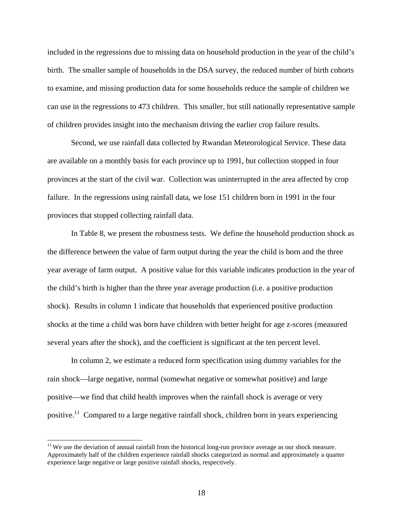included in the regressions due to missing data on household production in the year of the child's birth. The smaller sample of households in the DSA survey, the reduced number of birth cohorts to examine, and missing production data for some households reduce the sample of children we can use in the regressions to 473 children. This smaller, but still nationally representative sample of children provides insight into the mechanism driving the earlier crop failure results.

Second, we use rainfall data collected by Rwandan Meteorological Service. These data are available on a monthly basis for each province up to 1991, but collection stopped in four provinces at the start of the civil war. Collection was uninterrupted in the area affected by crop failure. In the regressions using rainfall data, we lose 151 children born in 1991 in the four provinces that stopped collecting rainfall data.

In Table 8, we present the robustness tests. We define the household production shock as the difference between the value of farm output during the year the child is born and the three year average of farm output. A positive value for this variable indicates production in the year of the child's birth is higher than the three year average production (i.e. a positive production shock). Results in column 1 indicate that households that experienced positive production shocks at the time a child was born have children with better height for age z-scores (measured several years after the shock), and the coefficient is significant at the ten percent level.

In column 2, we estimate a reduced form specification using dummy variables for the rain shock—large negative, normal (somewhat negative or somewhat positive) and large positive—we find that child health improves when the rainfall shock is average or very positive.<sup>11</sup> Compared to a large negative rainfall shock, children born in years experiencing

 $\overline{a}$ 

 $11$  We use the deviation of annual rainfall from the historical long-run province average as our shock measure. Approximately half of the children experience rainfall shocks categorized as normal and approximately a quarter experience large negative or large positive rainfall shocks, respectively.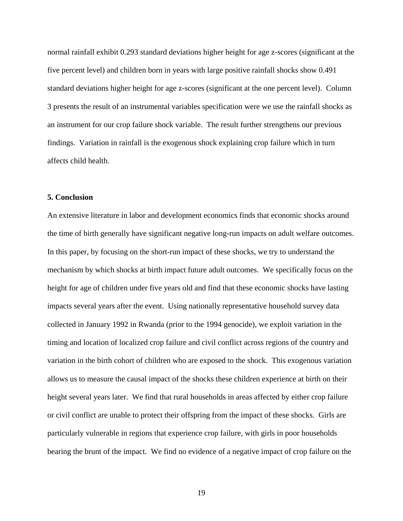normal rainfall exhibit 0.293 standard deviations higher height for age z-scores (significant at the five percent level) and children born in years with large positive rainfall shocks show 0.491 standard deviations higher height for age z-scores (significant at the one percent level). Column 3 presents the result of an instrumental variables specification were we use the rainfall shocks as an instrument for our crop failure shock variable. The result further strengthens our previous findings. Variation in rainfall is the exogenous shock explaining crop failure which in turn affects child health.

#### **5. Conclusion**

An extensive literature in labor and development economics finds that economic shocks around the time of birth generally have significant negative long-run impacts on adult welfare outcomes. In this paper, by focusing on the short-run impact of these shocks, we try to understand the mechanism by which shocks at birth impact future adult outcomes. We specifically focus on the height for age of children under five years old and find that these economic shocks have lasting impacts several years after the event. Using nationally representative household survey data collected in January 1992 in Rwanda (prior to the 1994 genocide), we exploit variation in the timing and location of localized crop failure and civil conflict across regions of the country and variation in the birth cohort of children who are exposed to the shock. This exogenous variation allows us to measure the causal impact of the shocks these children experience at birth on their height several years later. We find that rural households in areas affected by either crop failure or civil conflict are unable to protect their offspring from the impact of these shocks. Girls are particularly vulnerable in regions that experience crop failure, with girls in poor households bearing the brunt of the impact. We find no evidence of a negative impact of crop failure on the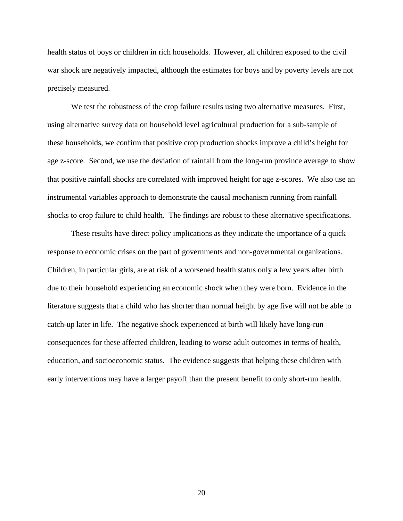health status of boys or children in rich households. However, all children exposed to the civil war shock are negatively impacted, although the estimates for boys and by poverty levels are not precisely measured.

We test the robustness of the crop failure results using two alternative measures. First, using alternative survey data on household level agricultural production for a sub-sample of these households, we confirm that positive crop production shocks improve a child's height for age z-score. Second, we use the deviation of rainfall from the long-run province average to show that positive rainfall shocks are correlated with improved height for age z-scores. We also use an instrumental variables approach to demonstrate the causal mechanism running from rainfall shocks to crop failure to child health. The findings are robust to these alternative specifications.

These results have direct policy implications as they indicate the importance of a quick response to economic crises on the part of governments and non-governmental organizations. Children, in particular girls, are at risk of a worsened health status only a few years after birth due to their household experiencing an economic shock when they were born. Evidence in the literature suggests that a child who has shorter than normal height by age five will not be able to catch-up later in life. The negative shock experienced at birth will likely have long-run consequences for these affected children, leading to worse adult outcomes in terms of health, education, and socioeconomic status. The evidence suggests that helping these children with early interventions may have a larger payoff than the present benefit to only short-run health.

20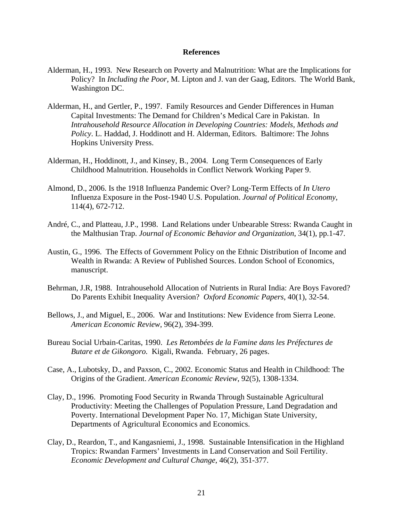#### **References**

- Alderman, H., 1993. New Research on Poverty and Malnutrition: What are the Implications for Policy? In *Including the Poor*, M. Lipton and J. van der Gaag, Editors. The World Bank, Washington DC.
- Alderman, H., and Gertler, P., 1997. Family Resources and Gender Differences in Human Capital Investments: The Demand for Children's Medical Care in Pakistan. In *Intrahousehold Resource Allocation in Developing Countries: Models, Methods and Policy*. L. Haddad, J. Hoddinott and H. Alderman, Editors. Baltimore: The Johns Hopkins University Press.
- Alderman, H., Hoddinott, J., and Kinsey, B., 2004. Long Term Consequences of Early Childhood Malnutrition. Households in Conflict Network Working Paper 9.
- Almond, D., 2006. Is the 1918 Influenza Pandemic Over? Long-Term Effects of *In Utero* Influenza Exposure in the Post-1940 U.S. Population. *Journal of Political Economy*, 114(4), 672-712.
- André, C., and Platteau, J.P., 1998. Land Relations under Unbearable Stress: Rwanda Caught in the Malthusian Trap. *Journal of Economic Behavior and Organization*, 34(1), pp.1-47.
- Austin, G., 1996. The Effects of Government Policy on the Ethnic Distribution of Income and Wealth in Rwanda: A Review of Published Sources. London School of Economics, manuscript.
- Behrman, J.R, 1988. Intrahousehold Allocation of Nutrients in Rural India: Are Boys Favored? Do Parents Exhibit Inequality Aversion? *Oxford Economic Papers*, 40(1), 32-54.
- Bellows, J., and Miguel, E., 2006. War and Institutions: New Evidence from Sierra Leone. *American Economic Review*, 96(2), 394-399.
- Bureau Social Urbain-Caritas, 1990. *Les Retombées de la Famine dans les Préfectures de Butare et de Gikongoro.* Kigali, Rwanda. February, 26 pages.
- Case, A., Lubotsky, D., and Paxson, C., 2002. Economic Status and Health in Childhood: The Origins of the Gradient. *American Economic Review*, 92(5), 1308-1334.
- Clay, D., 1996. Promoting Food Security in Rwanda Through Sustainable Agricultural Productivity: Meeting the Challenges of Population Pressure, Land Degradation and Poverty. International Development Paper No. 17, Michigan State University, Departments of Agricultural Economics and Economics.
- Clay, D., Reardon, T., and Kangasniemi, J., 1998. Sustainable Intensification in the Highland Tropics: Rwandan Farmers' Investments in Land Conservation and Soil Fertility. *Economic Development and Cultural Change*, 46(2), 351-377.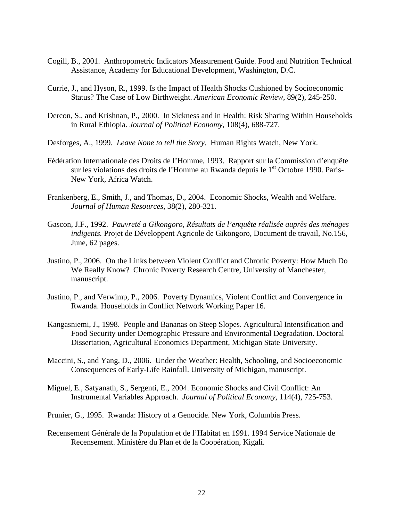- Cogill, B., 2001. Anthropometric Indicators Measurement Guide. Food and Nutrition Technical Assistance, Academy for Educational Development, Washington, D.C.
- Currie, J., and Hyson, R., 1999. Is the Impact of Health Shocks Cushioned by Socioeconomic Status? The Case of Low Birthweight. *American Economic Review*, 89(2), 245-250.
- Dercon, S., and Krishnan, P., 2000. In Sickness and in Health: Risk Sharing Within Households in Rural Ethiopia. *Journal of Political Economy*, 108(4), 688-727.
- Desforges, A., 1999. *Leave None to tell the Story.* Human Rights Watch, New York.
- Fédération Internationale des Droits de l'Homme, 1993. Rapport sur la Commission d'enquête sur les violations des droits de l'Homme au Rwanda depuis le  $1<sup>er</sup>$  Octobre 1990. Paris-New York, Africa Watch.
- Frankenberg, E., Smith, J., and Thomas, D., 2004. Economic Shocks, Wealth and Welfare. *Journal of Human Resources*, 38(2), 280-321.
- Gascon, J.F., 1992. *Pauvreté a Gikongoro, Résultats de l'enquête réalisée auprès des ménages indigents.* Projet de Développent Agricole de Gikongoro, Document de travail, No.156, June, 62 pages.
- Justino, P., 2006. On the Links between Violent Conflict and Chronic Poverty: How Much Do We Really Know? Chronic Poverty Research Centre, University of Manchester, manuscript.
- Justino, P., and Verwimp, P., 2006. Poverty Dynamics, Violent Conflict and Convergence in Rwanda. Households in Conflict Network Working Paper 16.
- Kangasniemi, J., 1998. People and Bananas on Steep Slopes. Agricultural Intensification and Food Security under Demographic Pressure and Environmental Degradation. Doctoral Dissertation, Agricultural Economics Department, Michigan State University.
- Maccini, S., and Yang, D., 2006. Under the Weather: Health, Schooling, and Socioeconomic Consequences of Early-Life Rainfall. University of Michigan, manuscript.
- Miguel, E., Satyanath, S., Sergenti, E., 2004. Economic Shocks and Civil Conflict: An Instrumental Variables Approach. *Journal of Political Economy*, 114(4), 725-753.
- Prunier, G., 1995. Rwanda: History of a Genocide. New York, Columbia Press.
- Recensement Générale de la Population et de l'Habitat en 1991. 1994 Service Nationale de Recensement. Ministère du Plan et de la Coopération, Kigali.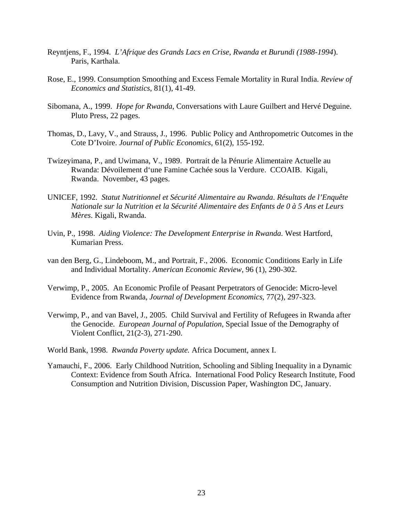- Reyntjens, F., 1994. *L'Afrique des Grands Lacs en Crise, Rwanda et Burundi (1988-1994*). Paris, Karthala.
- Rose, E., 1999. Consumption Smoothing and Excess Female Mortality in Rural India. *Review of Economics and Statistics*, 81(1), 41-49.
- Sibomana, A., 1999. *Hope for Rwanda*, Conversations with Laure Guilbert and Hervé Deguine. Pluto Press, 22 pages.
- Thomas, D., Lavy, V., and Strauss, J., 1996. Public Policy and Anthropometric Outcomes in the Cote D'Ivoire. *Journal of Public Economics*, 61(2), 155-192.
- Twizeyimana, P., and Uwimana, V., 1989. Portrait de la Pénurie Alimentaire Actuelle au Rwanda: Dévoilement d'une Famine Cachée sous la Verdure. CCOAIB. Kigali, Rwanda. November, 43 pages.
- UNICEF, 1992. *Statut Nutritionnel et Sécurité Alimentaire au Rwanda*. *Résultats de l'Enquête Nationale sur la Nutrition et la Sécurité Alimentaire des Enfants de 0 à 5 Ans et Leurs Mères*. Kigali, Rwanda.
- Uvin, P., 1998. *Aiding Violence: The Development Enterprise in Rwanda.* West Hartford, Kumarian Press.
- van den Berg, G., Lindeboom, M., and Portrait, F., 2006. Economic Conditions Early in Life and Individual Mortality. *American Economic Review*, 96 (1), 290-302.
- Verwimp, P., 2005. An Economic Profile of Peasant Perpetrators of Genocide: Micro-level Evidence from Rwanda, *Journal of Development Economics*, 77(2), 297-323.
- Verwimp, P., and van Bavel, J., 2005. Child Survival and Fertility of Refugees in Rwanda after the Genocide. *European Journal of Population*, Special Issue of the Demography of Violent Conflict, 21(2-3), 271-290.
- World Bank, 1998. *Rwanda Poverty update.* Africa Document, annex I.
- Yamauchi, F., 2006. Early Childhood Nutrition, Schooling and Sibling Inequality in a Dynamic Context: Evidence from South Africa. International Food Policy Research Institute, Food Consumption and Nutrition Division, Discussion Paper, Washington DC, January.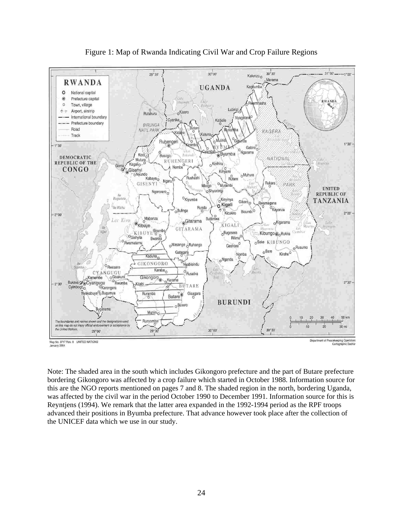

Figure 1: Map of Rwanda Indicating Civil War and Crop Failure Regions

Note: The shaded area in the south which includes Gikongoro prefecture and the part of Butare prefecture bordering Gikongoro was affected by a crop failure which started in October 1988. Information source for this are the NGO reports mentioned on pages 7 and 8. The shaded region in the north, bordering Uganda, was affected by the civil war in the period October 1990 to December 1991. Information source for this is Reyntjens (1994). We remark that the latter area expanded in the 1992-1994 period as the RPF troops advanced their positions in Byumba prefecture. That advance however took place after the collection of the UNICEF data which we use in our study.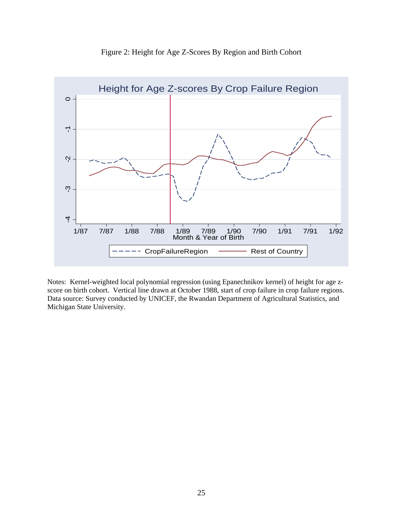

Figure 2: Height for Age Z-Scores By Region and Birth Cohort

Notes: Kernel-weighted local polynomial regression (using Epanechnikov kernel) of height for age zscore on birth cohort. Vertical line drawn at October 1988, start of crop failure in crop failure regions. Data source: Survey conducted by UNICEF, the Rwandan Department of Agricultural Statistics, and Michigan State University.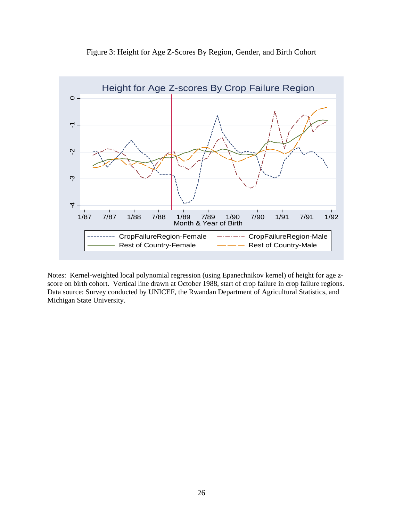



Notes: Kernel-weighted local polynomial regression (using Epanechnikov kernel) of height for age zscore on birth cohort. Vertical line drawn at October 1988, start of crop failure in crop failure regions. Data source: Survey conducted by UNICEF, the Rwandan Department of Agricultural Statistics, and Michigan State University.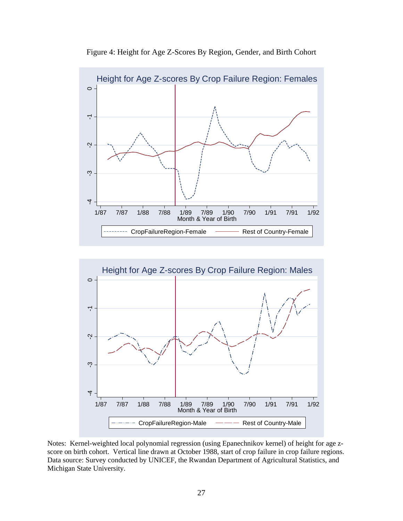

Figure 4: Height for Age Z-Scores By Region, Gender, and Birth Cohort



Notes: Kernel-weighted local polynomial regression (using Epanechnikov kernel) of height for age zscore on birth cohort. Vertical line drawn at October 1988, start of crop failure in crop failure regions. Data source: Survey conducted by UNICEF, the Rwandan Department of Agricultural Statistics, and Michigan State University.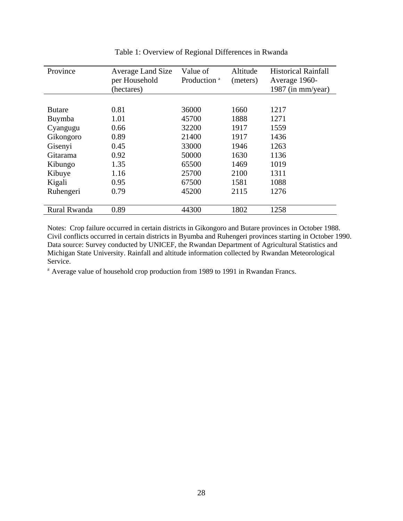| Province      | <b>Average Land Size</b> | Value of                | Altitude | <b>Historical Rainfall</b> |
|---------------|--------------------------|-------------------------|----------|----------------------------|
|               | per Household            | Production <sup>a</sup> | (meters) | Average 1960-              |
|               | (hectares)               |                         |          | 1987 (in mm/year)          |
|               |                          |                         |          |                            |
| <b>Butare</b> | 0.81                     | 36000                   | 1660     | 1217                       |
| Buymba        | 1.01                     | 45700                   | 1888     | 1271                       |
| Cyangugu      | 0.66                     | 32200                   | 1917     | 1559                       |
| Gikongoro     | 0.89                     | 21400                   | 1917     | 1436                       |
| Gisenyi       | 0.45                     | 33000                   | 1946     | 1263                       |
| Gitarama      | 0.92                     | 50000                   | 1630     | 1136                       |
| Kibungo       | 1.35                     | 65500                   | 1469     | 1019                       |
| Kibuye        | 1.16                     | 25700                   | 2100     | 1311                       |
| Kigali        | 0.95                     | 67500                   | 1581     | 1088                       |
| Ruhengeri     | 0.79                     | 45200                   | 2115     | 1276                       |
|               |                          |                         |          |                            |
| Rural Rwanda  | 0.89                     | 44300                   | 1802     | 1258                       |

Table 1: Overview of Regional Differences in Rwanda

Notes: Crop failure occurred in certain districts in Gikongoro and Butare provinces in October 1988. Civil conflicts occurred in certain districts in Byumba and Ruhengeri provinces starting in October 1990. Data source: Survey conducted by UNICEF, the Rwandan Department of Agricultural Statistics and Michigan State University. Rainfall and altitude information collected by Rwandan Meteorological Service.

<sup>a</sup> Average value of household crop production from 1989 to 1991 in Rwandan Francs.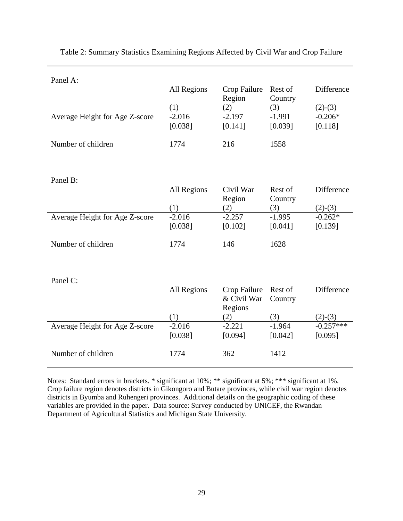| Panel A:                       |             |              |          |             |
|--------------------------------|-------------|--------------|----------|-------------|
|                                | All Regions | Crop Failure | Rest of  | Difference  |
|                                |             | Region       | Country  |             |
|                                | (1)         | (2)          | (3)      | $(2)-(3)$   |
| Average Height for Age Z-score | $-2.016$    | $-2.197$     | $-1.991$ | $-0.206*$   |
|                                | [0.038]     | [0.141]      | [0.039]  | [0.118]     |
| Number of children             | 1774        | 216          | 1558     |             |
|                                |             |              |          |             |
|                                |             |              |          |             |
| Panel B:                       |             |              |          |             |
|                                | All Regions | Civil War    | Rest of  | Difference  |
|                                |             | Region       | Country  |             |
|                                | (1)         | (2)          | (3)      | $(2)-(3)$   |
| Average Height for Age Z-score | $-2.016$    | $-2.257$     | $-1.995$ | $-0.262*$   |
|                                | [0.038]     | [0.102]      | [0.041]  | [0.139]     |
| Number of children             | 1774        | 146          | 1628     |             |
|                                |             |              |          |             |
|                                |             |              |          |             |
| Panel C:                       |             |              |          |             |
|                                | All Regions | Crop Failure | Rest of  | Difference  |
|                                |             | & Civil War  | Country  |             |
|                                |             | Regions      |          |             |
|                                | (1)         | (2)          | (3)      | $(2)-(3)$   |
| Average Height for Age Z-score | $-2.016$    | $-2.221$     | $-1.964$ | $-0.257***$ |
|                                | [0.038]     | [0.094]      | [0.042]  | [0.095]     |
| Number of children             | 1774        | 362          | 1412     |             |
|                                |             |              |          |             |
|                                |             |              |          |             |

Table 2: Summary Statistics Examining Regions Affected by Civil War and Crop Failure

Notes: Standard errors in brackets. \* significant at 10%; \*\* significant at 5%; \*\*\* significant at 1%. Crop failure region denotes districts in Gikongoro and Butare provinces, while civil war region denotes districts in Byumba and Ruhengeri provinces. Additional details on the geographic coding of these variables are provided in the paper. Data source: Survey conducted by UNICEF, the Rwandan Department of Agricultural Statistics and Michigan State University.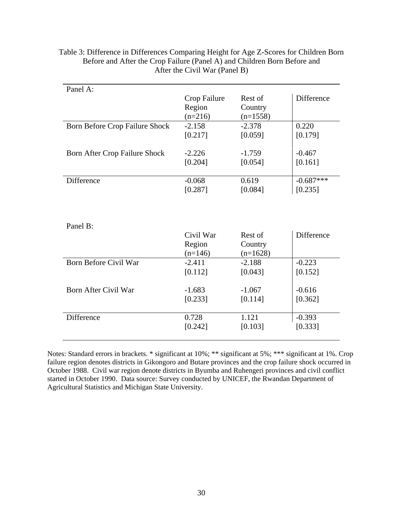| Panel A:                       |              |            |             |
|--------------------------------|--------------|------------|-------------|
|                                | Crop Failure | Rest of    | Difference  |
|                                | Region       | Country    |             |
|                                | $(n=216)$    | $(n=1558)$ |             |
| Born Before Crop Failure Shock | $-2.158$     | $-2.378$   | 0.220       |
|                                | [0.217]      | [0.059]    | [0.179]     |
|                                |              |            |             |
| Born After Crop Failure Shock  | $-2.226$     | $-1.759$   | $-0.467$    |
|                                | [0.204]      | [0.054]    | [0.161]     |
|                                |              |            |             |
| Difference                     | $-0.068$     | 0.619      | $-0.687***$ |
|                                | [0.287]      | [0.084]    | [0.235]     |
|                                |              |            |             |
|                                |              |            |             |
|                                |              |            |             |
| Panel B:                       |              |            |             |
|                                | Civil War    | Rest of    | Difference  |
|                                | Region       | Country    |             |
|                                | $(n=146)$    | $(n=1628)$ |             |
| Born Before Civil War          | $-2.411$     | $-2.188$   | $-0.223$    |
|                                | [0.112]      | [0.043]    | [0.152]     |
|                                |              |            |             |
| Born After Civil War           | $-1.683$     | $-1.067$   | $-0.616$    |
|                                | [0.233]      | [0.114]    | [0.362]     |
|                                |              |            |             |
| Difference                     | 0.728        | 1.121      | $-0.393$    |
|                                | [0.242]      | [0.103]    | [0.333]     |
|                                |              |            |             |

Table 3: Difference in Differences Comparing Height for Age Z-Scores for Children Born Before and After the Crop Failure (Panel A) and Children Born Before and After the Civil War (Panel B)

Notes: Standard errors in brackets. \* significant at 10%; \*\* significant at 5%; \*\*\* significant at 1%. Crop failure region denotes districts in Gikongoro and Butare provinces and the crop failure shock occurred in October 1988. Civil war region denote districts in Byumba and Ruhengeri provinces and civil conflict started in October 1990. Data source: Survey conducted by UNICEF, the Rwandan Department of Agricultural Statistics and Michigan State University.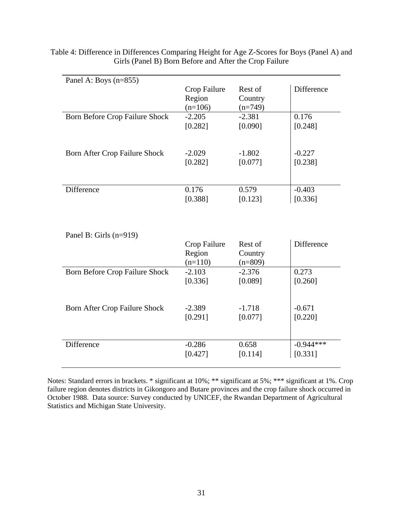| Panel A: Boys $(n=855)$               |                                     |                                 |                   |
|---------------------------------------|-------------------------------------|---------------------------------|-------------------|
|                                       | Crop Failure<br>Region<br>$(n=106)$ | Rest of<br>Country<br>$(n=749)$ | Difference        |
| <b>Born Before Crop Failure Shock</b> | $-2.205$                            | $-2.381$                        | 0.176             |
|                                       | [0.282]                             | [0.090]                         | [0.248]           |
| Born After Crop Failure Shock         | $-2.029$                            | $-1.802$                        | $-0.227$          |
|                                       | [0.282]                             | [0.077]                         | [0.238]           |
| Difference                            | 0.176                               | 0.579                           | $-0.403$          |
|                                       | [0.388]                             | [0.123]                         | [0.336]           |
| Panel B: Girls $(n=919)$              |                                     |                                 |                   |
|                                       | Crop Failure<br>Region<br>$(n=110)$ | Rest of<br>Country<br>$(n=809)$ | <b>Difference</b> |
| Born Before Crop Failure Shock        | $-2.103$                            | $-2.376$                        | 0.273             |
|                                       | [0.336]                             | [0.089]                         | [0.260]           |
| Born After Crop Failure Shock         | $-2.389$                            | $-1.718$                        | $-0.671$          |
|                                       | [0.291]                             | [0.077]                         | [0.220]           |
| Difference                            | $-0.286$                            | 0.658                           | $-0.944***$       |
|                                       | [0.427]                             | [0.114]                         | [0.331]           |

Table 4: Difference in Differences Comparing Height for Age Z-Scores for Boys (Panel A) and Girls (Panel B) Born Before and After the Crop Failure

Notes: Standard errors in brackets. \* significant at 10%; \*\* significant at 5%; \*\*\* significant at 1%. Crop failure region denotes districts in Gikongoro and Butare provinces and the crop failure shock occurred in October 1988. Data source: Survey conducted by UNICEF, the Rwandan Department of Agricultural Statistics and Michigan State University.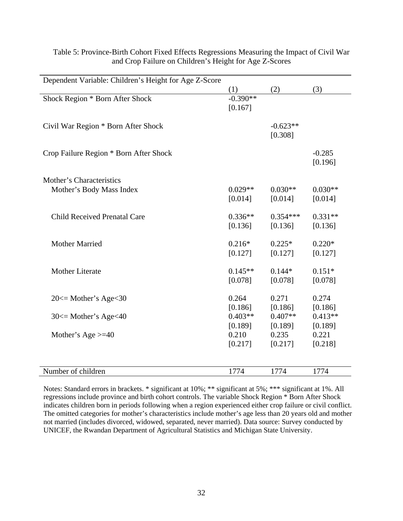| Dependent Variable: Children's Height for Age Z-Score |                       |                       |                      |
|-------------------------------------------------------|-----------------------|-----------------------|----------------------|
|                                                       | (1)                   | (2)                   | (3)                  |
| Shock Region * Born After Shock                       | $-0.390**$<br>[0.167] |                       |                      |
| Civil War Region * Born After Shock                   |                       | $-0.623**$<br>[0.308] |                      |
| Crop Failure Region * Born After Shock                |                       |                       | $-0.285$<br>[0.196]  |
| Mother's Characteristics                              |                       |                       |                      |
| Mother's Body Mass Index                              | $0.029**$<br>[0.014]  | $0.030**$<br>[0.014]  | $0.030**$<br>[0.014] |
| <b>Child Received Prenatal Care</b>                   | $0.336**$<br>[0.136]  | $0.354***$<br>[0.136] | $0.331**$<br>[0.136] |
| <b>Mother Married</b>                                 | $0.216*$<br>[0.127]   | $0.225*$<br>[0.127]   | $0.220*$<br>[0.127]  |
| <b>Mother Literate</b>                                | $0.145**$<br>[0.078]  | $0.144*$<br>[0.078]   | $0.151*$<br>[0.078]  |
| $20 \leq Mother's Age \leq 30$                        | 0.264<br>[0.186]      | 0.271<br>[0.186]      | 0.274<br>[0.186]     |
| $30 \leq Mother's Age < 40$                           | $0.403**$<br>[0.189]  | $0.407**$<br>[0.189]  | $0.413**$<br>[0.189] |
| Mother's Age $\geq 40$                                | 0.210<br>[0.217]      | 0.235<br>[0.217]      | 0.221<br>[0.218]     |
|                                                       |                       |                       |                      |
| Number of children                                    | 1774                  | 1774                  | 1774                 |

Table 5: Province-Birth Cohort Fixed Effects Regressions Measuring the Impact of Civil War and Crop Failure on Children's Height for Age Z-Scores

Notes: Standard errors in brackets. \* significant at 10%; \*\* significant at 5%; \*\*\* significant at 1%. All regressions include province and birth cohort controls. The variable Shock Region \* Born After Shock indicates children born in periods following when a region experienced either crop failure or civil conflict. The omitted categories for mother's characteristics include mother's age less than 20 years old and mother not married (includes divorced, widowed, separated, never married). Data source: Survey conducted by UNICEF, the Rwandan Department of Agricultural Statistics and Michigan State University.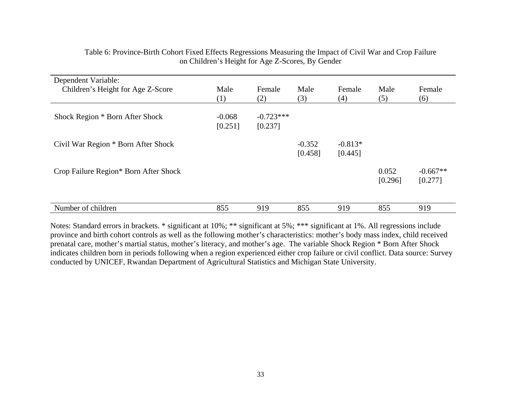| Dependent Variable:                   |          |             |          |           |                  |                       |
|---------------------------------------|----------|-------------|----------|-----------|------------------|-----------------------|
| Children's Height for Age Z-Score     | Male     | Female      | Male     | Female    | Male             | Female                |
|                                       | (1)      | (2)         | (3)      | (4)       | (5)              | (6)                   |
| Shock Region * Born After Shock       | $-0.068$ | $-0.723***$ |          |           |                  |                       |
|                                       | [0.251]  | [0.237]     |          |           |                  |                       |
| Civil War Region * Born After Shock   |          |             | $-0.352$ | $-0.813*$ |                  |                       |
|                                       |          |             | [0.458]  | [0.445]   |                  |                       |
| Crop Failure Region* Born After Shock |          |             |          |           | 0.052<br>[0.296] | $-0.667**$<br>[0.277] |
|                                       |          |             |          |           |                  |                       |
| Number of children                    | 855      | 919         | 855      | 919       | 855              | 919                   |

Table 6: Province-Birth Cohort Fixed Effects Regressions Measuring the Impact of Civil War and Crop Failure on Children's Height for Age Z-Scores, By Gender

Notes: Standard errors in brackets. \* significant at 10%; \*\* significant at 5%; \*\*\* significant at 1%. All regressions include province and birth cohort controls as well as the following mother's characteristics: mother's body mass index, child received prenatal care, mother's martial status, mother's literacy, and mother's age. The variable Shock Region \* Born After Shock indicates children born in periods following when a region experienced either crop failure or civil conflict. Data source: Survey conducted by UNICEF, Rwandan Department of Agricultural Statistics and Michigan State University.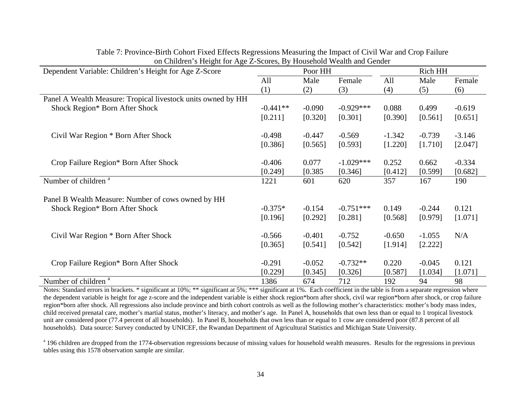| Dependent Variable: Children's Height for Age Z-Score        | Poor HH    |          |             | Rich HH  |          |          |  |
|--------------------------------------------------------------|------------|----------|-------------|----------|----------|----------|--|
|                                                              | All        | Male     | Female      | All      | Male     | Female   |  |
|                                                              | (1)        | (2)      | (3)         | (4)      | (5)      | (6)      |  |
| Panel A Wealth Measure: Tropical livestock units owned by HH |            |          |             |          |          |          |  |
| Shock Region* Born After Shock                               | $-0.441**$ | $-0.090$ | $-0.929***$ | 0.088    | 0.499    | $-0.619$ |  |
|                                                              | [0.211]    | [0.320]  | [0.301]     | [0.390]  | [0.561]  | [0.651]  |  |
| Civil War Region * Born After Shock                          | $-0.498$   | $-0.447$ | $-0.569$    | $-1.342$ | $-0.739$ | $-3.146$ |  |
|                                                              | [0.386]    | [0.565]  | [0.593]     | [1.220]  | [1.710]  | [2.047]  |  |
| Crop Failure Region* Born After Shock                        | $-0.406$   | 0.077    | $-1.029***$ | 0.252    | 0.662    | $-0.334$ |  |
|                                                              | [0.249]    | [0.385]  | [0.346]     | [0.412]  | [0.599]  | [0.682]  |  |
| Number of children <sup>a</sup>                              | 1221       | 601      | 620         | 357      | 167      | 190      |  |
| Panel B Wealth Measure: Number of cows owned by HH           |            |          |             |          |          |          |  |
| Shock Region* Born After Shock                               | $-0.375*$  | $-0.154$ | $-0.751***$ | 0.149    | $-0.244$ | 0.121    |  |
|                                                              | [0.196]    | [0.292]  | [0.281]     | [0.568]  | [0.979]  | [1.071]  |  |
| Civil War Region * Born After Shock                          | $-0.566$   | $-0.401$ | $-0.752$    | $-0.650$ | $-1.055$ | N/A      |  |
|                                                              | [0.365]    | [0.541]  | [0.542]     | [1.914]  | [2.222]  |          |  |
| Crop Failure Region* Born After Shock                        | $-0.291$   | $-0.052$ | $-0.732**$  | 0.220    | $-0.045$ | 0.121    |  |
|                                                              | [0.229]    | [0.345]  | [0.326]     | [0.587]  | [1.034]  | [1.071]  |  |
| Number of children <sup>a</sup>                              | 1386       | 674      | 712         | 192      | 94       | 98       |  |

Table 7: Province-Birth Cohort Fixed Effects Regressions Measuring the Impact of Civil War and Crop Failure on Children's Height for Age Z-Scores, By Household Wealth and Gender

Notes: Standard errors in brackets. \* significant at 10%; \*\* significant at 5%; \*\*\* significant at 1%. Each coefficient in the table is from a separate regression where the dependent variable is height for age z-score and the independent variable is either shock region\*born after shock, civil war region\*born after shock, or crop failure region\*born after shock. All regressions also include province and birth cohort controls as well as the following mother's characteristics: mother's body mass index, child received prenatal care, mother's martial status, mother's literacy, and mother's age. In Panel A, households that own less than or equal to 1 tropical livestock unit are considered poor (77.4 percent of all households). In Panel B, households that own less than or equal to 1 cow are considered poor (87.8 percent of all households). Data source: Survey conducted by UNICEF, the Rwandan Department of Agricultural Statistics and Michigan State University.

<sup>a</sup> 196 children are dropped from the 1774-observation regressions because of missing values for household wealth measures. Results for the regressions in previous tables using this 1578 observation sample are similar.